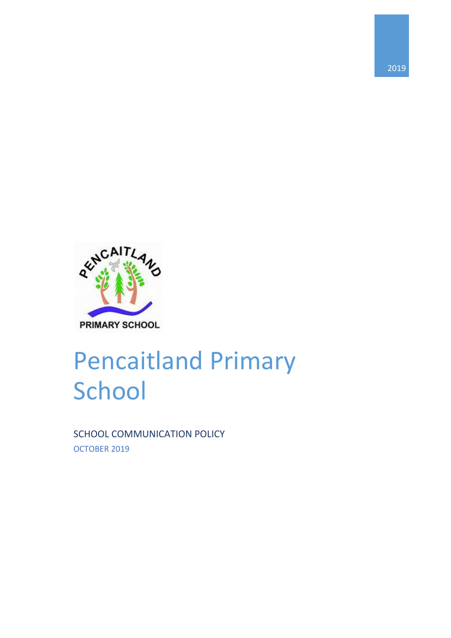

# Pencaitland Primary **School**

2019

SCHOOL COMMUNICATION POLICY OCTOBER 2019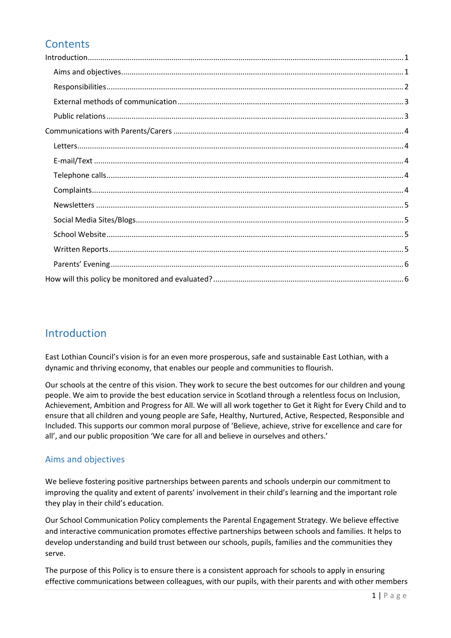# **Contents**

# <span id="page-1-0"></span>Introduction

East Lothian Council's vision is for an even more prosperous, safe and sustainable East Lothian, with a dynamic and thriving economy, that enables our people and communities to flourish.

Our schools at the centre of this vision. They work to secure the best outcomes for our children and young people. We aim to provide the best education service in Scotland through a relentless focus on Inclusion, Achievement, Ambition and Progress for All. We will all work together to Get it Right for Every Child and to ensure that all children and young people are Safe, Healthy, Nurtured, Active, Respected, Responsible and Included. This supports our common moral purpose of 'Believe, achieve, strive for excellence and care for all', and our public proposition 'We care for all and believe in ourselves and others.'

## <span id="page-1-1"></span>Aims and objectives

We believe fostering positive partnerships between parents and schools underpin our commitment to improving the quality and extent of parents' involvement in their child's learning and the important role they play in their child's education.

Our School Communication Policy complements the Parental Engagement Strategy. We believe effective and interactive communication promotes effective partnerships between schools and families. It helps to develop understanding and build trust between our schools, pupils, families and the communities they serve.

The purpose of this Policy is to ensure there is a consistent approach for schools to apply in ensuring effective communications between colleagues, with our pupils, with their parents and with other members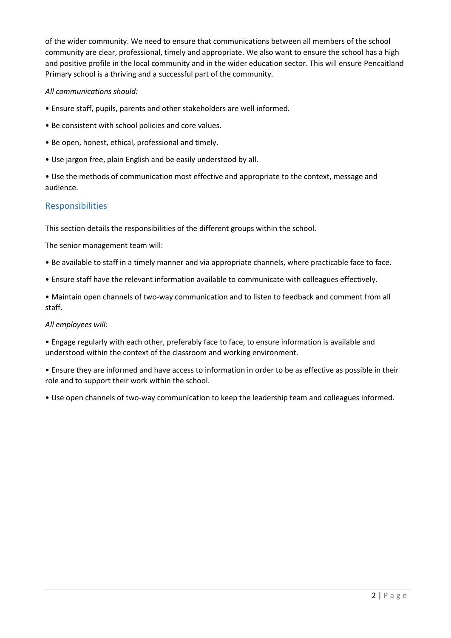of the wider community. We need to ensure that communications between all members of the school community are clear, professional, timely and appropriate. We also want to ensure the school has a high and positive profile in the local community and in the wider education sector. This will ensure Pencaitland Primary school is a thriving and a successful part of the community.

#### *All communications should:*

- Ensure staff, pupils, parents and other stakeholders are well informed.
- Be consistent with school policies and core values.
- Be open, honest, ethical, professional and timely.
- Use jargon free, plain English and be easily understood by all.

• Use the methods of communication most effective and appropriate to the context, message and audience.

## <span id="page-2-0"></span>Responsibilities

This section details the responsibilities of the different groups within the school.

The senior management team will:

- Be available to staff in a timely manner and via appropriate channels, where practicable face to face.
- Ensure staff have the relevant information available to communicate with colleagues effectively.

• Maintain open channels of two-way communication and to listen to feedback and comment from all staff.

#### *All employees will:*

• Engage regularly with each other, preferably face to face, to ensure information is available and understood within the context of the classroom and working environment.

• Ensure they are informed and have access to information in order to be as effective as possible in their role and to support their work within the school.

• Use open channels of two-way communication to keep the leadership team and colleagues informed.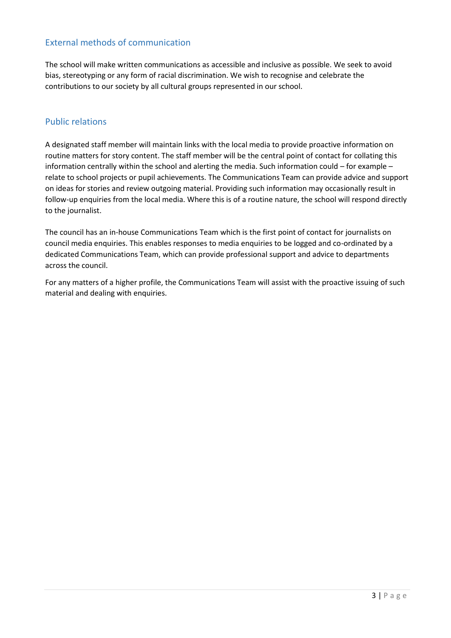## <span id="page-3-0"></span>External methods of communication

The school will make written communications as accessible and inclusive as possible. We seek to avoid bias, stereotyping or any form of racial discrimination. We wish to recognise and celebrate the contributions to our society by all cultural groups represented in our school.

#### <span id="page-3-1"></span>Public relations

A designated staff member will maintain links with the local media to provide proactive information on routine matters for story content. The staff member will be the central point of contact for collating this information centrally within the school and alerting the media. Such information could – for example – relate to school projects or pupil achievements. The Communications Team can provide advice and support on ideas for stories and review outgoing material. Providing such information may occasionally result in follow-up enquiries from the local media. Where this is of a routine nature, the school will respond directly to the journalist.

The council has an in-house Communications Team which is the first point of contact for journalists on council media enquiries. This enables responses to media enquiries to be logged and co-ordinated by a dedicated Communications Team, which can provide professional support and advice to departments across the council.

For any matters of a higher profile, the Communications Team will assist with the proactive issuing of such material and dealing with enquiries.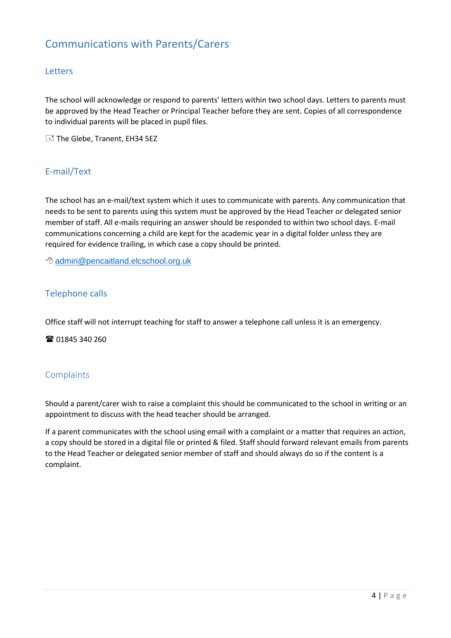# <span id="page-4-0"></span>Communications with Parents/Carers

#### <span id="page-4-1"></span>Letters

The school will acknowledge or respond to parents' letters within two school days. Letters to parents must be approved by the Head Teacher or Principal Teacher before they are sent. Copies of all correspondence to individual parents will be placed in pupil files.

The Glebe, Tranent, EH34 5EZ

## <span id="page-4-2"></span>E-mail/Text

The school has an e-mail/text system which it uses to communicate with parents. Any communication that needs to be sent to parents using this system must be approved by the Head Teacher or delegated senior member of staff. All e-mails requiring an answer should be responded to within two school days. E-mail communications concerning a child are kept for the academic year in a digital folder unless they are required for evidence trailing, in which case a copy should be printed.

[admin@pencaitland.elcschool.org.uk](mailto:admin@pencaitland.elcschool.org.uk)

#### <span id="page-4-3"></span>Telephone calls

Office staff will not interrupt teaching for staff to answer a telephone call unless it is an emergency.

■ 01845 340 260

#### <span id="page-4-4"></span>**Complaints**

Should a parent/carer wish to raise a complaint this should be communicated to the school in writing or an appointment to discuss with the head teacher should be arranged.

If a parent communicates with the school using email with a complaint or a matter that requires an action, a copy should be stored in a digital file or printed & filed. Staff should forward relevant emails from parents to the Head Teacher or delegated senior member of staff and should always do so if the content is a complaint.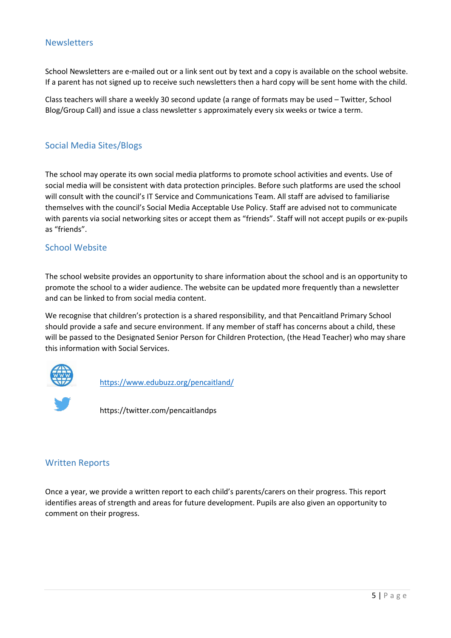#### <span id="page-5-0"></span>**Newsletters**

School Newsletters are e-mailed out or a link sent out by text and a copy is available on the school website. If a parent has not signed up to receive such newsletters then a hard copy will be sent home with the child.

Class teachers will share a weekly 30 second update (a range of formats may be used – Twitter, School Blog/Group Call) and issue a class newsletter s approximately every six weeks or twice a term.

#### <span id="page-5-1"></span>Social Media Sites/Blogs

The school may operate its own social media platforms to promote school activities and events. Use of social media will be consistent with data protection principles. Before such platforms are used the school will consult with the council's IT Service and Communications Team. All staff are advised to familiarise themselves with the council's Social Media Acceptable Use Policy. Staff are advised not to communicate with parents via social networking sites or accept them as "friends". Staff will not accept pupils or ex-pupils as "friends".

#### <span id="page-5-2"></span>School Website

The school website provides an opportunity to share information about the school and is an opportunity to promote the school to a wider audience. The website can be updated more frequently than a newsletter and can be linked to from social media content.

We recognise that children's protection is a shared responsibility, and that Pencaitland Primary School should provide a safe and secure environment. If any member of staff has concerns about a child, these will be passed to the Designated Senior Person for Children Protection, (the Head Teacher) who may share this information with Social Services.



<https://www.edubuzz.org/pencaitland/>

https://twitter.com/pencaitlandps

#### <span id="page-5-3"></span>Written Reports

Once a year, we provide a written report to each child's parents/carers on their progress. This report identifies areas of strength and areas for future development. Pupils are also given an opportunity to comment on their progress.